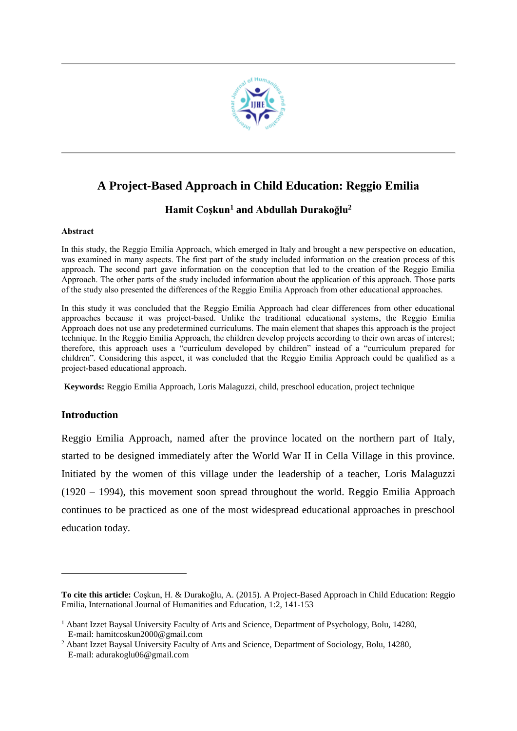

# **A Project-Based Approach in Child Education: Reggio Emilia**

# **Hamit Coşkun<sup>1</sup> and Abdullah Durakoğlu<sup>2</sup>**

# **Abstract**

In this study, the Reggio Emilia Approach, which emerged in Italy and brought a new perspective on education, was examined in many aspects. The first part of the study included information on the creation process of this approach. The second part gave information on the conception that led to the creation of the Reggio Emilia Approach. The other parts of the study included information about the application of this approach. Those parts of the study also presented the differences of the Reggio Emilia Approach from other educational approaches.

In this study it was concluded that the Reggio Emilia Approach had clear differences from other educational approaches because it was project-based. Unlike the traditional educational systems, the Reggio Emilia Approach does not use any predetermined curriculums. The main element that shapes this approach is the project technique. In the Reggio Emilia Approach, the children develop projects according to their own areas of interest; therefore, this approach uses a "curriculum developed by children" instead of a "curriculum prepared for children". Considering this aspect, it was concluded that the Reggio Emilia Approach could be qualified as a project-based educational approach.

**Keywords:** Reggio Emilia Approach, Loris Malaguzzi, child, preschool education, project technique

# **Introduction**

1

Reggio Emilia Approach, named after the province located on the northern part of Italy, started to be designed immediately after the World War II in Cella Village in this province. Initiated by the women of this village under the leadership of a teacher, Loris Malaguzzi (1920 – 1994), this movement soon spread throughout the world. Reggio Emilia Approach continues to be practiced as one of the most widespread educational approaches in preschool education today.

**To cite this article:** Coşkun, H. & Durakoğlu, A. (2015). A Project-Based Approach in Child Education: Reggio Emilia, International Journal of Humanities and Education, 1:2, 141-153

 $<sup>1</sup>$  Abant Izzet Baysal University Faculty of Arts and Science, Department of Psychology, Bolu, 14280,</sup> E-mail: hamitcoskun2000@gmail.com

<sup>&</sup>lt;sup>2</sup> Abant Izzet Baysal University Faculty of Arts and Science, Department of Sociology, Bolu, 14280, E-mail: adurakoglu06@gmail.com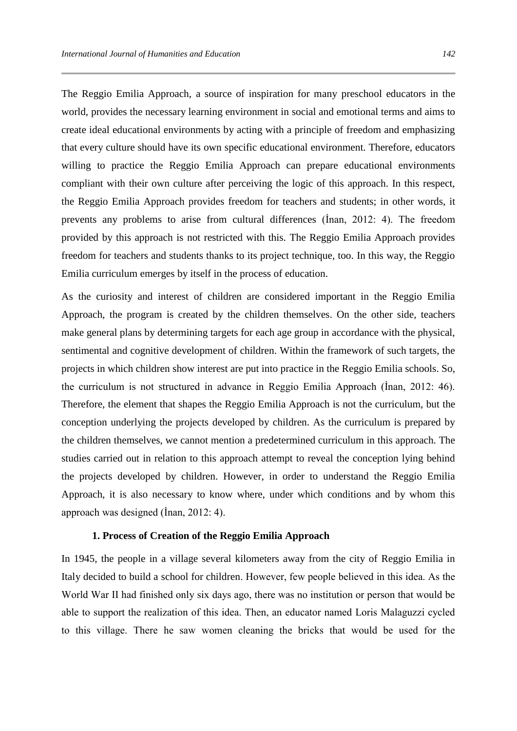The Reggio Emilia Approach, a source of inspiration for many preschool educators in the world, provides the necessary learning environment in social and emotional terms and aims to create ideal educational environments by acting with a principle of freedom and emphasizing that every culture should have its own specific educational environment. Therefore, educators willing to practice the Reggio Emilia Approach can prepare educational environments compliant with their own culture after perceiving the logic of this approach. In this respect, the Reggio Emilia Approach provides freedom for teachers and students; in other words, it prevents any problems to arise from cultural differences (İnan, 2012: 4). The freedom provided by this approach is not restricted with this. The Reggio Emilia Approach provides freedom for teachers and students thanks to its project technique, too. In this way, the Reggio Emilia curriculum emerges by itself in the process of education.

As the curiosity and interest of children are considered important in the Reggio Emilia Approach, the program is created by the children themselves. On the other side, teachers make general plans by determining targets for each age group in accordance with the physical, sentimental and cognitive development of children. Within the framework of such targets, the projects in which children show interest are put into practice in the Reggio Emilia schools. So, the curriculum is not structured in advance in Reggio Emilia Approach (İnan, 2012: 46). Therefore, the element that shapes the Reggio Emilia Approach is not the curriculum, but the conception underlying the projects developed by children. As the curriculum is prepared by the children themselves, we cannot mention a predetermined curriculum in this approach. The studies carried out in relation to this approach attempt to reveal the conception lying behind the projects developed by children. However, in order to understand the Reggio Emilia Approach, it is also necessary to know where, under which conditions and by whom this approach was designed (İnan, 2012: 4).

#### **1. Process of Creation of the Reggio Emilia Approach**

In 1945, the people in a village several kilometers away from the city of Reggio Emilia in Italy decided to build a school for children. However, few people believed in this idea. As the World War II had finished only six days ago, there was no institution or person that would be able to support the realization of this idea. Then, an educator named Loris Malaguzzi cycled to this village. There he saw women cleaning the bricks that would be used for the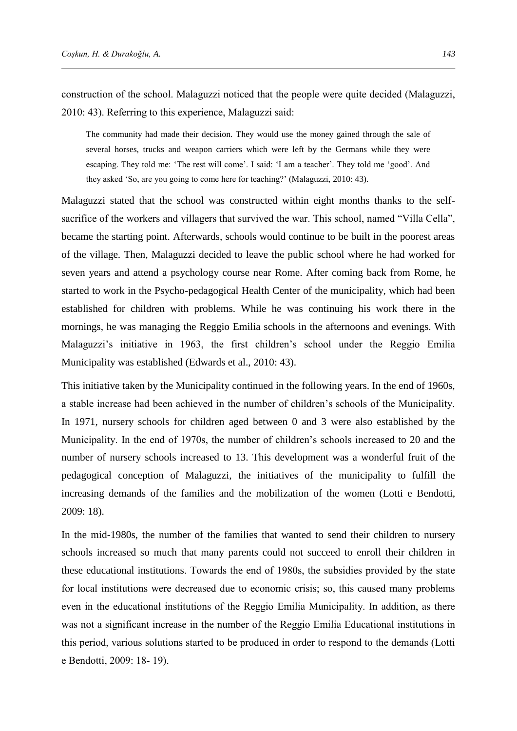construction of the school. Malaguzzi noticed that the people were quite decided (Malaguzzi, 2010: 43). Referring to this experience, Malaguzzi said:

The community had made their decision. They would use the money gained through the sale of several horses, trucks and weapon carriers which were left by the Germans while they were escaping. They told me: 'The rest will come'. I said: 'I am a teacher'. They told me 'good'. And they asked 'So, are you going to come here for teaching?' (Malaguzzi, 2010: 43).

Malaguzzi stated that the school was constructed within eight months thanks to the selfsacrifice of the workers and villagers that survived the war. This school, named "Villa Cella", became the starting point. Afterwards, schools would continue to be built in the poorest areas of the village. Then, Malaguzzi decided to leave the public school where he had worked for seven years and attend a psychology course near Rome. After coming back from Rome, he started to work in the Psycho-pedagogical Health Center of the municipality, which had been established for children with problems. While he was continuing his work there in the mornings, he was managing the Reggio Emilia schools in the afternoons and evenings. With Malaguzzi's initiative in 1963, the first children's school under the Reggio Emilia Municipality was established (Edwards et al., 2010: 43).

This initiative taken by the Municipality continued in the following years. In the end of 1960s, a stable increase had been achieved in the number of children's schools of the Municipality. In 1971, nursery schools for children aged between 0 and 3 were also established by the Municipality. In the end of 1970s, the number of children's schools increased to 20 and the number of nursery schools increased to 13. This development was a wonderful fruit of the pedagogical conception of Malaguzzi, the initiatives of the municipality to fulfill the increasing demands of the families and the mobilization of the women (Lotti e Bendotti, 2009: 18).

In the mid-1980s, the number of the families that wanted to send their children to nursery schools increased so much that many parents could not succeed to enroll their children in these educational institutions. Towards the end of 1980s, the subsidies provided by the state for local institutions were decreased due to economic crisis; so, this caused many problems even in the educational institutions of the Reggio Emilia Municipality. In addition, as there was not a significant increase in the number of the Reggio Emilia Educational institutions in this period, various solutions started to be produced in order to respond to the demands (Lotti e Bendotti, 2009: 18- 19).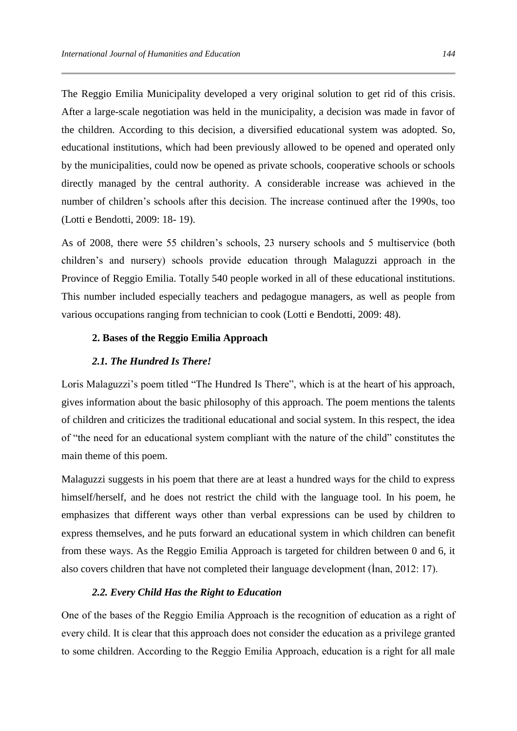The Reggio Emilia Municipality developed a very original solution to get rid of this crisis. After a large-scale negotiation was held in the municipality, a decision was made in favor of the children. According to this decision, a diversified educational system was adopted. So, educational institutions, which had been previously allowed to be opened and operated only by the municipalities, could now be opened as private schools, cooperative schools or schools directly managed by the central authority. A considerable increase was achieved in the number of children's schools after this decision. The increase continued after the 1990s, too (Lotti e Bendotti, 2009: 18- 19).

As of 2008, there were 55 children's schools, 23 nursery schools and 5 multiservice (both children's and nursery) schools provide education through Malaguzzi approach in the Province of Reggio Emilia. Totally 540 people worked in all of these educational institutions. This number included especially teachers and pedagogue managers, as well as people from various occupations ranging from technician to cook (Lotti e Bendotti, 2009: 48).

# **2. Bases of the Reggio Emilia Approach**

# *2.1. The Hundred Is There!*

Loris Malaguzzi's poem titled "The Hundred Is There", which is at the heart of his approach, gives information about the basic philosophy of this approach. The poem mentions the talents of children and criticizes the traditional educational and social system. In this respect, the idea of "the need for an educational system compliant with the nature of the child" constitutes the main theme of this poem.

Malaguzzi suggests in his poem that there are at least a hundred ways for the child to express himself/herself, and he does not restrict the child with the language tool. In his poem, he emphasizes that different ways other than verbal expressions can be used by children to express themselves, and he puts forward an educational system in which children can benefit from these ways. As the Reggio Emilia Approach is targeted for children between 0 and 6, it also covers children that have not completed their language development (İnan, 2012: 17).

## *2.2. Every Child Has the Right to Education*

One of the bases of the Reggio Emilia Approach is the recognition of education as a right of every child. It is clear that this approach does not consider the education as a privilege granted to some children. According to the Reggio Emilia Approach, education is a right for all male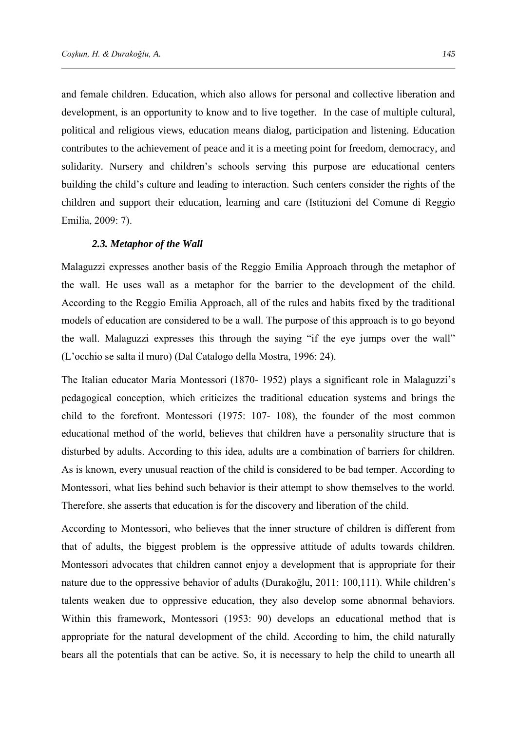and female children. Education, which also allows for personal and collective liberation and development, is an opportunity to know and to live together. In the case of multiple cultural, political and religious views, education means dialog, participation and listening. Education contributes to the achievement of peace and it is a meeting point for freedom, democracy, and solidarity. Nursery and children's schools serving this purpose are educational centers building the child's culture and leading to interaction. Such centers consider the rights of the children and support their education, learning and care (Istituzioni del Comune di Reggio Emilia, 2009: 7).

#### *2.3. Metaphor of the Wall*

Malaguzzi expresses another basis of the Reggio Emilia Approach through the metaphor of the wall. He uses wall as a metaphor for the barrier to the development of the child. According to the Reggio Emilia Approach, all of the rules and habits fixed by the traditional models of education are considered to be a wall. The purpose of this approach is to go beyond the wall. Malaguzzi expresses this through the saying "if the eye jumps over the wall" (L'occhio se salta il muro) (Dal Catalogo della Mostra, 1996: 24).

The Italian educator Maria Montessori (1870- 1952) plays a significant role in Malaguzzi's pedagogical conception, which criticizes the traditional education systems and brings the child to the forefront. Montessori (1975: 107- 108), the founder of the most common educational method of the world, believes that children have a personality structure that is disturbed by adults. According to this idea, adults are a combination of barriers for children. As is known, every unusual reaction of the child is considered to be bad temper. According to Montessori, what lies behind such behavior is their attempt to show themselves to the world. Therefore, she asserts that education is for the discovery and liberation of the child.

According to Montessori, who believes that the inner structure of children is different from that of adults, the biggest problem is the oppressive attitude of adults towards children. Montessori advocates that children cannot enjoy a development that is appropriate for their nature due to the oppressive behavior of adults (Durakoğlu, 2011: 100,111). While children's talents weaken due to oppressive education, they also develop some abnormal behaviors. Within this framework, Montessori (1953: 90) develops an educational method that is appropriate for the natural development of the child. According to him, the child naturally bears all the potentials that can be active. So, it is necessary to help the child to unearth all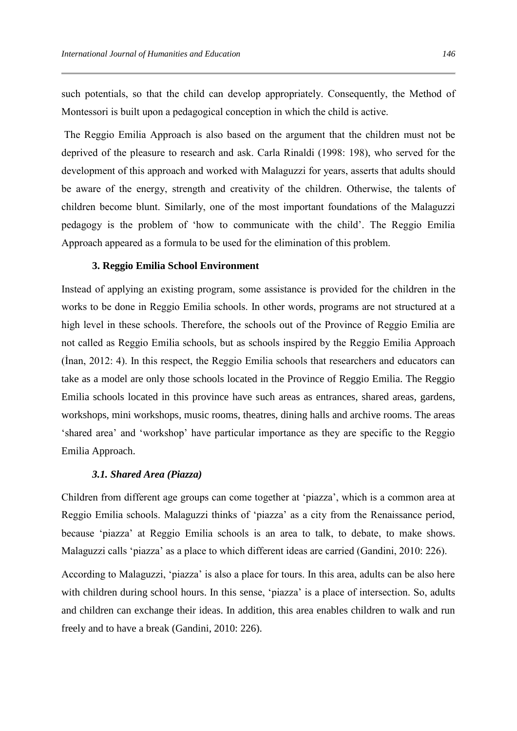such potentials, so that the child can develop appropriately. Consequently, the Method of Montessori is built upon a pedagogical conception in which the child is active.

The Reggio Emilia Approach is also based on the argument that the children must not be deprived of the pleasure to research and ask. Carla Rinaldi (1998: 198), who served for the development of this approach and worked with Malaguzzi for years, asserts that adults should be aware of the energy, strength and creativity of the children. Otherwise, the talents of children become blunt. Similarly, one of the most important foundations of the Malaguzzi pedagogy is the problem of 'how to communicate with the child'. The Reggio Emilia Approach appeared as a formula to be used for the elimination of this problem.

### **3. Reggio Emilia School Environment**

Instead of applying an existing program, some assistance is provided for the children in the works to be done in Reggio Emilia schools. In other words, programs are not structured at a high level in these schools. Therefore, the schools out of the Province of Reggio Emilia are not called as Reggio Emilia schools, but as schools inspired by the Reggio Emilia Approach (İnan, 2012: 4). In this respect, the Reggio Emilia schools that researchers and educators can take as a model are only those schools located in the Province of Reggio Emilia. The Reggio Emilia schools located in this province have such areas as entrances, shared areas, gardens, workshops, mini workshops, music rooms, theatres, dining halls and archive rooms. The areas 'shared area' and 'workshop' have particular importance as they are specific to the Reggio Emilia Approach.

# *3.1. Shared Area (Piazza)*

Children from different age groups can come together at 'piazza', which is a common area at Reggio Emilia schools. Malaguzzi thinks of 'piazza' as a city from the Renaissance period, because 'piazza' at Reggio Emilia schools is an area to talk, to debate, to make shows. Malaguzzi calls 'piazza' as a place to which different ideas are carried (Gandini, 2010: 226).

According to Malaguzzi, 'piazza' is also a place for tours. In this area, adults can be also here with children during school hours. In this sense, 'piazza' is a place of intersection. So, adults and children can exchange their ideas. In addition, this area enables children to walk and run freely and to have a break (Gandini, 2010: 226).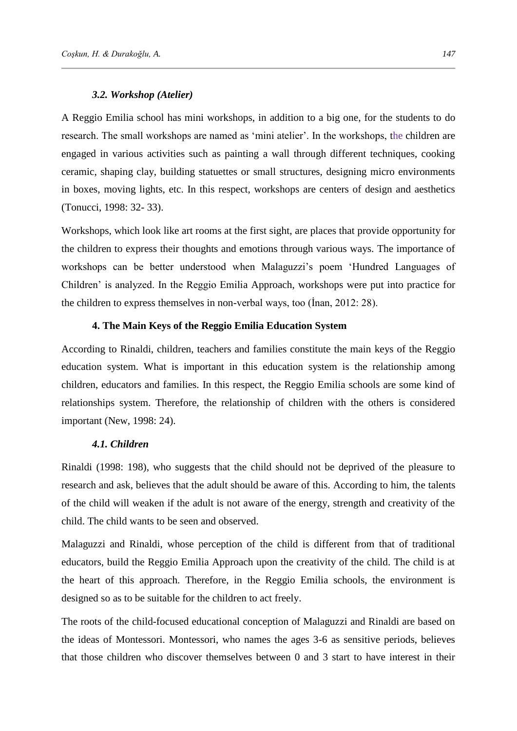#### *3.2. Workshop (Atelier)*

A Reggio Emilia school has mini workshops, in addition to a big one, for the students to do research. The small workshops are named as 'mini atelier'. In the workshops, the children are engaged in various activities such as painting a wall through different techniques, cooking ceramic, shaping clay, building statuettes or small structures, designing micro environments in boxes, moving lights, etc. In this respect, workshops are centers of design and aesthetics (Tonucci, 1998: 32- 33).

Workshops, which look like art rooms at the first sight, are places that provide opportunity for the children to express their thoughts and emotions through various ways. The importance of workshops can be better understood when Malaguzzi's poem 'Hundred Languages of Children' is analyzed. In the Reggio Emilia Approach, workshops were put into practice for the children to express themselves in non-verbal ways, too (İnan, 2012: 28).

#### **4. The Main Keys of the Reggio Emilia Education System**

According to Rinaldi, children, teachers and families constitute the main keys of the Reggio education system. What is important in this education system is the relationship among children, educators and families. In this respect, the Reggio Emilia schools are some kind of relationships system. Therefore, the relationship of children with the others is considered important (New, 1998: 24).

## *4.1. Children*

Rinaldi (1998: 198), who suggests that the child should not be deprived of the pleasure to research and ask, believes that the adult should be aware of this. According to him, the talents of the child will weaken if the adult is not aware of the energy, strength and creativity of the child. The child wants to be seen and observed.

Malaguzzi and Rinaldi, whose perception of the child is different from that of traditional educators, build the Reggio Emilia Approach upon the creativity of the child. The child is at the heart of this approach. Therefore, in the Reggio Emilia schools, the environment is designed so as to be suitable for the children to act freely.

The roots of the child-focused educational conception of Malaguzzi and Rinaldi are based on the ideas of Montessori. Montessori, who names the ages 3-6 as sensitive periods, believes that those children who discover themselves between 0 and 3 start to have interest in their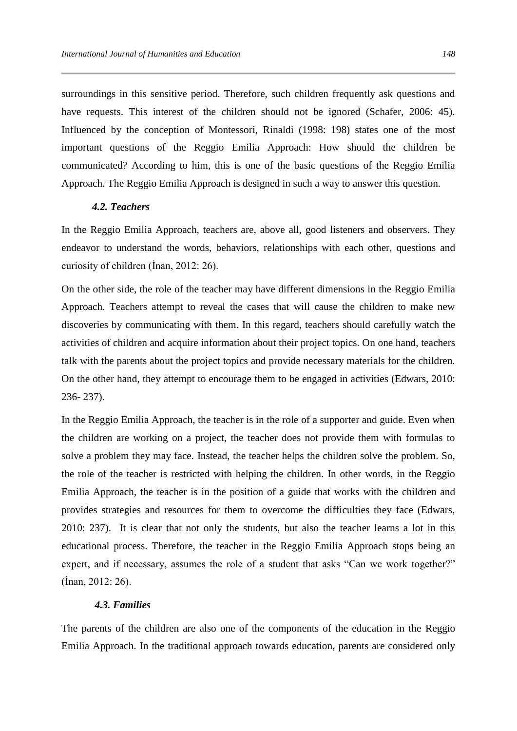surroundings in this sensitive period. Therefore, such children frequently ask questions and have requests. This interest of the children should not be ignored (Schafer, 2006: 45). Influenced by the conception of Montessori, Rinaldi (1998: 198) states one of the most important questions of the Reggio Emilia Approach: How should the children be communicated? According to him, this is one of the basic questions of the Reggio Emilia Approach. The Reggio Emilia Approach is designed in such a way to answer this question.

# *4.2. Teachers*

In the Reggio Emilia Approach, teachers are, above all, good listeners and observers. They endeavor to understand the words, behaviors, relationships with each other, questions and curiosity of children (İnan, 2012: 26).

On the other side, the role of the teacher may have different dimensions in the Reggio Emilia Approach. Teachers attempt to reveal the cases that will cause the children to make new discoveries by communicating with them. In this regard, teachers should carefully watch the activities of children and acquire information about their project topics. On one hand, teachers talk with the parents about the project topics and provide necessary materials for the children. On the other hand, they attempt to encourage them to be engaged in activities (Edwars, 2010: 236- 237).

In the Reggio Emilia Approach, the teacher is in the role of a supporter and guide. Even when the children are working on a project, the teacher does not provide them with formulas to solve a problem they may face. Instead, the teacher helps the children solve the problem. So, the role of the teacher is restricted with helping the children. In other words, in the Reggio Emilia Approach, the teacher is in the position of a guide that works with the children and provides strategies and resources for them to overcome the difficulties they face (Edwars, 2010: 237). It is clear that not only the students, but also the teacher learns a lot in this educational process. Therefore, the teacher in the Reggio Emilia Approach stops being an expert, and if necessary, assumes the role of a student that asks "Can we work together?" (İnan, 2012: 26).

# *4.3. Families*

The parents of the children are also one of the components of the education in the Reggio Emilia Approach. In the traditional approach towards education, parents are considered only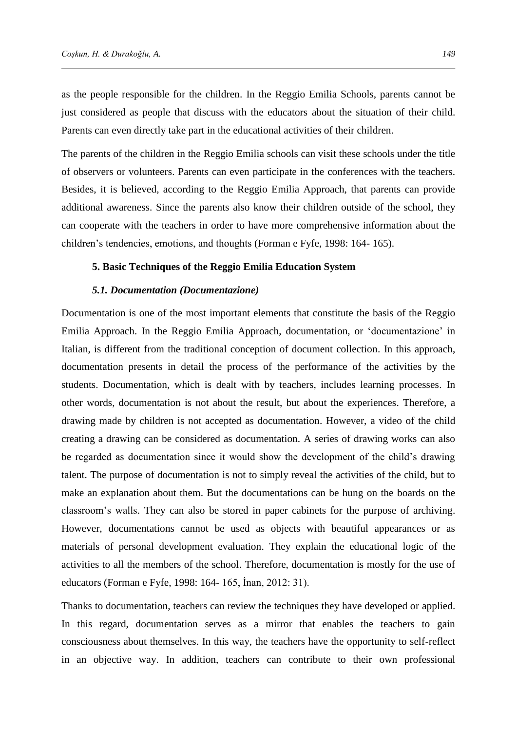as the people responsible for the children. In the Reggio Emilia Schools, parents cannot be just considered as people that discuss with the educators about the situation of their child. Parents can even directly take part in the educational activities of their children.

The parents of the children in the Reggio Emilia schools can visit these schools under the title of observers or volunteers. Parents can even participate in the conferences with the teachers. Besides, it is believed, according to the Reggio Emilia Approach, that parents can provide additional awareness. Since the parents also know their children outside of the school, they can cooperate with the teachers in order to have more comprehensive information about the children's tendencies, emotions, and thoughts (Forman e Fyfe, 1998: 164- 165).

### **5. Basic Techniques of the Reggio Emilia Education System**

## *5.1. Documentation (Documentazione)*

Documentation is one of the most important elements that constitute the basis of the Reggio Emilia Approach. In the Reggio Emilia Approach, documentation, or 'documentazione' in Italian, is different from the traditional conception of document collection. In this approach, documentation presents in detail the process of the performance of the activities by the students. Documentation, which is dealt with by teachers, includes learning processes. In other words, documentation is not about the result, but about the experiences. Therefore, a drawing made by children is not accepted as documentation. However, a video of the child creating a drawing can be considered as documentation. A series of drawing works can also be regarded as documentation since it would show the development of the child's drawing talent. The purpose of documentation is not to simply reveal the activities of the child, but to make an explanation about them. But the documentations can be hung on the boards on the classroom's walls. They can also be stored in paper cabinets for the purpose of archiving. However, documentations cannot be used as objects with beautiful appearances or as materials of personal development evaluation. They explain the educational logic of the activities to all the members of the school. Therefore, documentation is mostly for the use of educators (Forman e Fyfe, 1998: 164- 165, İnan, 2012: 31).

Thanks to documentation, teachers can review the techniques they have developed or applied. In this regard, documentation serves as a mirror that enables the teachers to gain consciousness about themselves. In this way, the teachers have the opportunity to self-reflect in an objective way. In addition, teachers can contribute to their own professional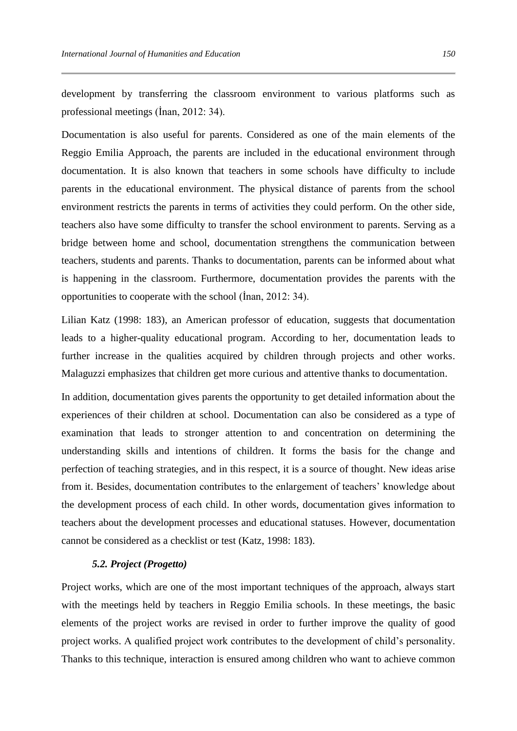development by transferring the classroom environment to various platforms such as professional meetings (İnan, 2012: 34).

Documentation is also useful for parents. Considered as one of the main elements of the Reggio Emilia Approach, the parents are included in the educational environment through documentation. It is also known that teachers in some schools have difficulty to include parents in the educational environment. The physical distance of parents from the school environment restricts the parents in terms of activities they could perform. On the other side, teachers also have some difficulty to transfer the school environment to parents. Serving as a bridge between home and school, documentation strengthens the communication between teachers, students and parents. Thanks to documentation, parents can be informed about what is happening in the classroom. Furthermore, documentation provides the parents with the opportunities to cooperate with the school (İnan, 2012: 34).

Lilian Katz (1998: 183), an American professor of education, suggests that documentation leads to a higher-quality educational program. According to her, documentation leads to further increase in the qualities acquired by children through projects and other works. Malaguzzi emphasizes that children get more curious and attentive thanks to documentation.

In addition, documentation gives parents the opportunity to get detailed information about the experiences of their children at school. Documentation can also be considered as a type of examination that leads to stronger attention to and concentration on determining the understanding skills and intentions of children. It forms the basis for the change and perfection of teaching strategies, and in this respect, it is a source of thought. New ideas arise from it. Besides, documentation contributes to the enlargement of teachers' knowledge about the development process of each child. In other words, documentation gives information to teachers about the development processes and educational statuses. However, documentation cannot be considered as a checklist or test (Katz, 1998: 183).

## *5.2. Project (Progetto)*

Project works, which are one of the most important techniques of the approach, always start with the meetings held by teachers in Reggio Emilia schools. In these meetings, the basic elements of the project works are revised in order to further improve the quality of good project works. A qualified project work contributes to the development of child's personality. Thanks to this technique, interaction is ensured among children who want to achieve common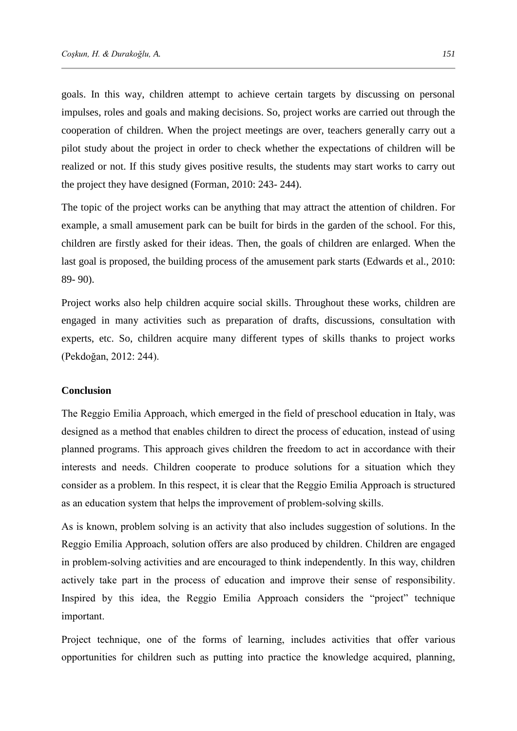goals. In this way, children attempt to achieve certain targets by discussing on personal impulses, roles and goals and making decisions. So, project works are carried out through the cooperation of children. When the project meetings are over, teachers generally carry out a pilot study about the project in order to check whether the expectations of children will be realized or not. If this study gives positive results, the students may start works to carry out the project they have designed (Forman, 2010: 243- 244).

The topic of the project works can be anything that may attract the attention of children. For example, a small amusement park can be built for birds in the garden of the school. For this, children are firstly asked for their ideas. Then, the goals of children are enlarged. When the last goal is proposed, the building process of the amusement park starts (Edwards et al., 2010: 89- 90).

Project works also help children acquire social skills. Throughout these works, children are engaged in many activities such as preparation of drafts, discussions, consultation with experts, etc. So, children acquire many different types of skills thanks to project works (Pekdoğan, 2012: 244).

# **Conclusion**

The Reggio Emilia Approach, which emerged in the field of preschool education in Italy, was designed as a method that enables children to direct the process of education, instead of using planned programs. This approach gives children the freedom to act in accordance with their interests and needs. Children cooperate to produce solutions for a situation which they consider as a problem. In this respect, it is clear that the Reggio Emilia Approach is structured as an education system that helps the improvement of problem-solving skills.

As is known, problem solving is an activity that also includes suggestion of solutions. In the Reggio Emilia Approach, solution offers are also produced by children. Children are engaged in problem-solving activities and are encouraged to think independently. In this way, children actively take part in the process of education and improve their sense of responsibility. Inspired by this idea, the Reggio Emilia Approach considers the "project" technique important.

Project technique, one of the forms of learning, includes activities that offer various opportunities for children such as putting into practice the knowledge acquired, planning,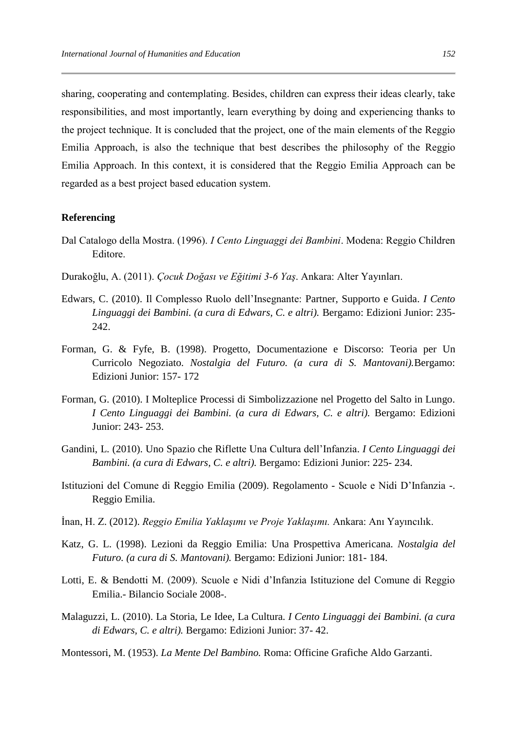sharing, cooperating and contemplating. Besides, children can express their ideas clearly, take responsibilities, and most importantly, learn everything by doing and experiencing thanks to the project technique. It is concluded that the project, one of the main elements of the Reggio Emilia Approach, is also the technique that best describes the philosophy of the Reggio Emilia Approach. In this context, it is considered that the Reggio Emilia Approach can be regarded as a best project based education system.

# **Referencing**

- Dal Catalogo della Mostra. (1996). *I Cento Linguaggi dei Bambini*. Modena: Reggio Children Editore.
- Durakoğlu, A. (2011). *Çocuk Doğası ve Eğitimi 3-6 Yaş*. Ankara: Alter Yayınları.
- Edwars, C. (2010). Il Complesso Ruolo dell'Insegnante: Partner, Supporto e Guida. *I Cento Linguaggi dei Bambini. (a cura di Edwars, C. e altri).* Bergamo: Edizioni Junior: 235- 242.
- Forman, G. & Fyfe, B. (1998). Progetto, Documentazione e Discorso: Teoria per Un Curricolo Negoziato. *Nostalgia del Futuro. (a cura di S. Mantovani).*Bergamo: Edizioni Junior: 157- 172
- Forman, G. (2010). I Molteplice Processi di Simbolizzazione nel Progetto del Salto in Lungo. *I Cento Linguaggi dei Bambini. (a cura di Edwars, C. e altri).* Bergamo: Edizioni Junior: 243- 253.
- Gandini, L. (2010). Uno Spazio che Riflette Una Cultura dell'Infanzia. *I Cento Linguaggi dei Bambini. (a cura di Edwars, C. e altri).* Bergamo: Edizioni Junior: 225- 234.
- Istituzioni del Comune di Reggio Emilia (2009). Regolamento Scuole e Nidi D'Infanzia -. Reggio Emilia.
- İnan, H. Z. (2012). *Reggio Emilia Yaklaşımı ve Proje Yaklaşımı.* Ankara: Anı Yayıncılık.
- Katz, G. L. (1998). Lezioni da Reggio Emilia: Una Prospettiva Americana. *Nostalgia del Futuro. (a cura di S. Mantovani).* Bergamo: Edizioni Junior: 181- 184.
- Lotti, E. & Bendotti M. (2009). Scuole e Nidi d'Infanzia Istituzione del Comune di Reggio Emilia.- Bilancio Sociale 2008-.
- Malaguzzi, L. (2010). La Storia, Le Idee, La Cultura. *I Cento Linguaggi dei Bambini. (a cura di Edwars, C. e altri).* Bergamo: Edizioni Junior: 37- 42.

Montessori, M. (1953). *La Mente Del Bambino.* Roma: Officine Grafiche Aldo Garzanti.